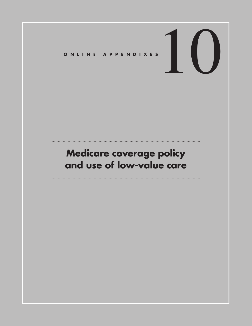# ONLINE APPENDIXES

# **Medicare coverage policy and use of low-value care**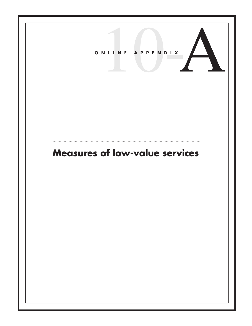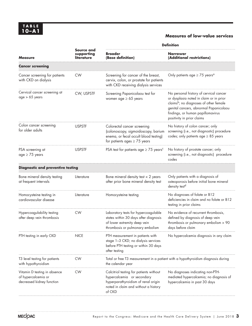### **Measures of low-value services**

| <b>Measure</b>                                                                   | Source and<br>supporting<br>literature | <b>Definition</b>                                                                                                                                              |                                                                                                                                                                                                                                                      |
|----------------------------------------------------------------------------------|----------------------------------------|----------------------------------------------------------------------------------------------------------------------------------------------------------------|------------------------------------------------------------------------------------------------------------------------------------------------------------------------------------------------------------------------------------------------------|
|                                                                                  |                                        | <b>Broader</b><br>(Base definition)                                                                                                                            | <b>Narrower</b><br>(Additional restrictions)                                                                                                                                                                                                         |
| <b>Cancer screening</b>                                                          |                                        |                                                                                                                                                                |                                                                                                                                                                                                                                                      |
| Cancer screening for patients<br>with CKD on dialysis                            | <b>CW</b>                              | Screening for cancer of the breast,<br>cervix, colon, or prostate for patients<br>with CKD receiving dialysis services                                         | Only patients age $\geq$ 75 years <sup>a</sup>                                                                                                                                                                                                       |
| Cervical cancer screening at<br>age > 65 years                                   | CW, USPSTF                             | Screening Papanicolaou test for<br>women age $\geq 65$ years                                                                                                   | No personal history of cervical cancer<br>or dysplasia noted in claim or in prior<br>claims <sup>b</sup> ; no diagnoses of other female<br>genital cancers, abnormal Papanicolaou<br>findings, or human papillomavirus<br>positivity in prior claims |
| Colon cancer screening<br>for older adults                                       | <b>USPSTF</b>                          | Colorectal cancer screening<br>(colonoscopy, sigmoidoscopy, barium<br>enema, or fecal occult blood testing)<br>for patients ages $\geq$ 75 years               | No history of colon cancer; only<br>screening (i.e., not diagnostic) procedure<br>codes; only patients age $\geq 85$ years                                                                                                                           |
| PSA screening at<br>$age \geq 75$ years                                          | <b>USPSTF</b>                          | PSA test for patients age $\geq$ 75 years <sup>c</sup>                                                                                                         | No history of prostate cancer; only<br>screening (i.e., not diagnostic) procedure<br>codes                                                                                                                                                           |
| <b>Diagnostic and preventive testing</b>                                         |                                        |                                                                                                                                                                |                                                                                                                                                                                                                                                      |
| Bone mineral density testing<br>at frequent intervals                            | Literature                             | Bone mineral density test $<$ 2 years<br>after prior bone mineral density test                                                                                 | Only patients with a diagnosis of<br>osteoporosis before initial bone mineral<br>density test <sup>d</sup>                                                                                                                                           |
| Homocysteine testing in<br>cardiovascular disease                                | Literature                             | Homocysteine testing                                                                                                                                           | No diagnoses of folate or B12<br>deficiencies in claim and no folate or B12<br>testing in prior claims                                                                                                                                               |
| Hypercoagulability testing<br>after deep vein thrombosis                         | <b>CW</b>                              | Laboratory tests for hypercoagulable<br>states within 30 days after diagnosis<br>of lower extremity deep vein<br>thrombosis or pulmonary embolism              | No evidence of recurrent thrombosis,<br>defined by diagnosis of deep vein<br>thrombosis or pulmonary embolism > 90<br>days before claim                                                                                                              |
| PTH testing in early CKD                                                         | <b>NICE</b>                            | PTH measurement in patients with<br>stage 1-3 CKD; no dialysis services<br>before PTH testing or within 30 days<br>after testing                               | No hypercalcemia diagnosis in any claim                                                                                                                                                                                                              |
| T3 level testing for patients<br>with hypothyroidism                             | <b>CW</b>                              | Total or free T3 measurement in a patient with a hypothyroidism diagnosis during<br>the calendar year                                                          |                                                                                                                                                                                                                                                      |
| Vitamin D testing in absence<br>of hypercalcemia or<br>decreased kidney function | <b>CW</b>                              | Calcitriol testing for patients without<br>hypercalcemia or secondary<br>hyperparathyroidism of renal origin<br>noted in claim and without a history<br>of CKD | No diagnoses indicating non-PTH-<br>mediated hypercalcemia; no diagnosis of<br>hypercalcemia in past 30 days                                                                                                                                         |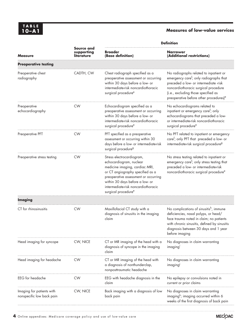## **10–A1 Measures of low-value services**

| <b>Measure</b>                                         |                                               | <b>Definition</b>                                                                                                                                                                                                                                                               |                                                                                                                                                                                                                                                                             |  |
|--------------------------------------------------------|-----------------------------------------------|---------------------------------------------------------------------------------------------------------------------------------------------------------------------------------------------------------------------------------------------------------------------------------|-----------------------------------------------------------------------------------------------------------------------------------------------------------------------------------------------------------------------------------------------------------------------------|--|
|                                                        | <b>Source and</b><br>supporting<br>literature | <b>Broader</b><br>(Base definition)                                                                                                                                                                                                                                             | <b>Narrower</b><br>(Additional restrictions)                                                                                                                                                                                                                                |  |
| <b>Preoperative testing</b>                            |                                               |                                                                                                                                                                                                                                                                                 |                                                                                                                                                                                                                                                                             |  |
| Preoperative chest<br>radiography                      | CADTH, CW                                     | Chest radiograph specified as a<br>preoperative assessment or occurring<br>within 30 days before a low- or<br>intermediate-risk noncardiothoracic<br>surgical procedure <sup>e</sup>                                                                                            | No radiographs related to inpatient or<br>emergency care <sup>f</sup> ; only radiographs that<br>preceded a low- or intermediate -risk<br>noncardiothoracic surgical procedure<br>(i.e., excluding those specified as<br>preoperative before other procedures) <sup>e</sup> |  |
| Preoperative<br>echocardiography                       | <b>CW</b>                                     | Echocardiogram specified as a<br>preoperative assessment or occurring<br>within 30 days before a low- or<br>intermediate-risk noncardiothoracic<br>surgical procedure <sup>e</sup>                                                                                              | No echocardiograms related to<br>inpatient or emergency care <sup>f</sup> ; only<br>echocardiograms that preceded a low-<br>or intermediate-risk noncardiothoracic<br>surgical procedure <sup>e</sup>                                                                       |  |
| Preoperative PFT                                       | <b>CW</b>                                     | PFT specified as a preoperative<br>assessment or occurring within 30<br>days before a low- or intermediate-risk<br>surgical procedure <sup>g</sup>                                                                                                                              | No PFT related to inpatient or emergency<br>care <sup>f</sup> ; only PFT that preceded a low- or<br>intermediate-risk surgical procedure <sup>g</sup>                                                                                                                       |  |
| Preoperative stress testing                            | <b>CW</b>                                     | Stress electrocardiogram,<br>echocardiogram, nuclear<br>medicine imaging, cardiac MRI,<br>or CT angiography specified as a<br>preoperative assessment or occurring<br>within 30 days before a low- or<br>intermediate-risk noncardiothoracic<br>surgical procedure <sup>e</sup> | No stress testing related to inpatient or<br>emergency care <sup>f</sup> ; only stress testing that<br>preceded a low- or intermediate-risk<br>noncardiothoracic surgical procedure <sup>e</sup>                                                                            |  |
| <b>Imaging</b>                                         |                                               |                                                                                                                                                                                                                                                                                 |                                                                                                                                                                                                                                                                             |  |
| CT for rhinosinusitis                                  | <b>CW</b>                                     | Maxillofacial CT study with a<br>diagnosis of sinusitis in the imaging<br>claim                                                                                                                                                                                                 | No complications of sinusitish, immune<br>deficiencies, nasal polyps, or head/<br>face trauma noted in claim; no patients<br>with chronic sinusitis, defined by sinusitis<br>diagnosis between 30 days and 1 year<br>before imaging                                         |  |
| Head imaging for syncope                               | CW, NICE                                      | CT or MR imaging of the head with a<br>diagnosis of syncope in the imaging<br>claim                                                                                                                                                                                             | No diagnoses in claim warranting<br>imaging                                                                                                                                                                                                                                 |  |
| Head imaging for headache                              | <b>CW</b>                                     | CT or MR imaging of the head with<br>a diagnosis of nonthunderclap,<br>nonposttraumatic headache                                                                                                                                                                                | No diagnoses in claim warranting<br>imaging                                                                                                                                                                                                                                 |  |
| EEG for headache                                       | <b>CW</b>                                     | EEG with headache diagnosis in the<br>claim                                                                                                                                                                                                                                     | No epilepsy or convulsions noted in<br>current or prior claims                                                                                                                                                                                                              |  |
| Imaging for patients with<br>nonspecific low back pain | CW, NICE                                      | Back imaging with a diagnosis of low<br>back pain                                                                                                                                                                                                                               | No diagnoses in claim warranting<br>imaging <sup>k</sup> ; imaging occurred within 6<br>weeks of the first diagnosis of back pain                                                                                                                                           |  |

Į,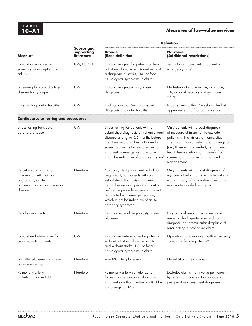## **Measures of low-value services**

| <b>Measure</b>                                                                                                         | Source and<br>supporting<br>literature | <b>Definition</b>                                                                                                                                                                                                                                                                                      |                                                                                                                                                                                                                                                                                                            |  |
|------------------------------------------------------------------------------------------------------------------------|----------------------------------------|--------------------------------------------------------------------------------------------------------------------------------------------------------------------------------------------------------------------------------------------------------------------------------------------------------|------------------------------------------------------------------------------------------------------------------------------------------------------------------------------------------------------------------------------------------------------------------------------------------------------------|--|
|                                                                                                                        |                                        | <b>Broader</b><br>(Base definition)                                                                                                                                                                                                                                                                    | <b>Narrower</b><br>(Additional restrictions)                                                                                                                                                                                                                                                               |  |
| Carotid artery disease<br>screening in asymptomatic<br>adults                                                          | CW, USPSTF                             | Carotid imaging for patients without<br>a history of stroke or TIA and without<br>a diagnosis of stroke, TIA, or focal<br>neurological symptoms in claim                                                                                                                                               | Test not associated with inpatient or<br>emergency care                                                                                                                                                                                                                                                    |  |
| Screening for carotid artery<br>disease for syncope                                                                    | <b>CW</b>                              | Carotid imaging with syncope<br>diagnosis                                                                                                                                                                                                                                                              | No history of stroke or TIA; no stroke,<br>TIA, or focal neurological symptoms in<br>claim                                                                                                                                                                                                                 |  |
| Imaging for plantar fasciitis                                                                                          | <b>CW</b>                              | Radiographic or MR imaging with<br>diagnosis of plantar fasciitis                                                                                                                                                                                                                                      | Imaging was within 2 weeks of the first<br>appearance of a foot pain diagnosis                                                                                                                                                                                                                             |  |
| <b>Cardiovascular testing and procedures</b>                                                                           |                                        |                                                                                                                                                                                                                                                                                                        |                                                                                                                                                                                                                                                                                                            |  |
| Stress testing for stable<br>coronary disease                                                                          | <b>CW</b>                              | Stress testing for patients with an<br>established diagnosis of ischemic heart<br>disease or angina (≥6 months before<br>the stress test) and thus not done for<br>screening; test not associated with<br>inpatient or emergency care, which<br>might be indicative of unstable anginal                | Only patients with a past diagnosis<br>of myocardial infarction to exclude<br>patients with a history of noncardiac<br>chest pain inaccurately coded as angina<br>(i.e., those with no underlying ischemic<br>heart disease who might benefit from<br>screening and optimization of medical<br>management) |  |
| Percutaneous coronary<br>intervention with balloon<br>angioplasty or stent<br>placement for stable coronary<br>disease | Literature                             | Coronary stent placement or balloon<br>angioplasty for patients with an<br>established diagnosis of ischemic<br>heart disease or angina (≥6 months<br>before the procedure); procedure not<br>associated with emergency care <sup>1</sup> ,<br>which might be indicative of acute<br>coronary syndrome | Only patients with a past diagnosis of<br>myocardial infarction to exclude patients<br>with a history of noncardiac chest pain<br>inaccurately coded as angina                                                                                                                                             |  |
| Renal artery stenting                                                                                                  | Literature                             | Renal or visceral angioplasty or stent<br>placement                                                                                                                                                                                                                                                    | Diagnosis of renal atherosclerosis or<br>renovascular hypertension and no<br>diagnosis of fibromuscular dysplasia of<br>renal artery in procedure claim                                                                                                                                                    |  |
| Carotid endarterectomy for<br>asymptomatic patients                                                                    | <b>CW</b>                              | Carotid endarterectomy for patients<br>without a history of stroke or TIA<br>and without stroke, TIA, or focal<br>neurological symptoms in claim                                                                                                                                                       | Operation not associated with emergency<br>care <sup>1</sup> ; only female patients <sup>m</sup>                                                                                                                                                                                                           |  |
| IVC filter placement to prevent<br>pulmonary embolism                                                                  | Literature                             | Any IVC filter placement                                                                                                                                                                                                                                                                               | No additional restrictions                                                                                                                                                                                                                                                                                 |  |
| Pulmonary artery<br>catheterization in ICU                                                                             | Literature                             | Pulmonary artery catheterization<br>for monitoring purposes during an<br>inpatient stay that involved an ICU but<br>not a surgical DRG                                                                                                                                                                 | Excludes claims that involve pulmonary<br>hypertension, cardiac tamponade, or<br>preoperative assessment diagnoses                                                                                                                                                                                         |  |